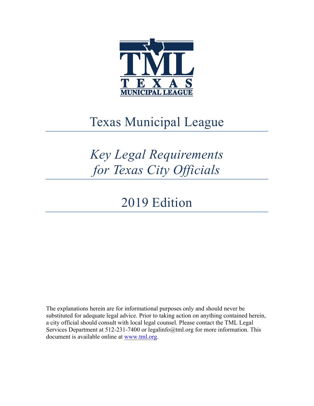

# Texas Municipal League

# *Key Legal Requirements for Texas City Officials*

## 2019 Edition

The explanations herein are for informational purposes only and should never be substituted for adequate legal advice. Prior to taking action on anything contained herein, a city official should consult with local legal counsel. Please contact the TML Legal Services Department at 512-231-7400 or legalinfo@tml.org for more information. This document is available online at www.tml.org.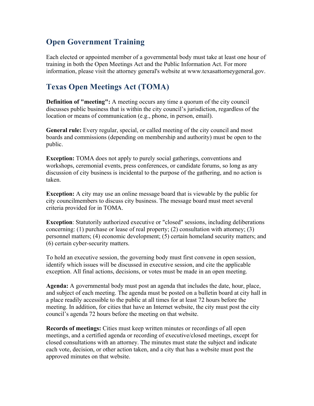## **Open Government Training**

Each elected or appointed member of a governmental body must take at least one hour of training in both the Open Meetings Act and the Public Information Act. For more information, please visit the attorney general's website at www.texasattorneygeneral.gov.

## **Texas Open Meetings Act (TOMA)**

**Definition of "meeting":** A meeting occurs any time a quorum of the city council discusses public business that is within the city council's jurisdiction, regardless of the location or means of communication (e.g., phone, in person, email).

**General rule:** Every regular, special, or called meeting of the city council and most boards and commissions (depending on membership and authority) must be open to the public.

**Exception:** TOMA does not apply to purely social gatherings, conventions and workshops, ceremonial events, press conferences, or candidate forums, so long as any discussion of city business is incidental to the purpose of the gathering, and no action is taken.

**Exception:** A city may use an online message board that is viewable by the public for city councilmembers to discuss city business. The message board must meet several criteria provided for in TOMA.

**Exception**: Statutorily authorized executive or "closed" sessions, including deliberations concerning: (1) purchase or lease of real property; (2) consultation with attorney; (3) personnel matters; (4) economic development; (5) certain homeland security matters; and (6) certain cyber-security matters.

To hold an executive session, the governing body must first convene in open session, identify which issues will be discussed in executive session, and cite the applicable exception. All final actions, decisions, or votes must be made in an open meeting.

**Agenda:** A governmental body must post an agenda that includes the date, hour, place, and subject of each meeting. The agenda must be posted on a bulletin board at city hall in a place readily accessible to the public at all times for at least 72 hours before the meeting. In addition, for cities that have an Internet website, the city must post the city council's agenda 72 hours before the meeting on that website.

**Records of meetings:** Cities must keep written minutes or recordings of all open meetings, and a certified agenda or recording of executive/closed meetings, except for closed consultations with an attorney. The minutes must state the subject and indicate each vote, decision, or other action taken, and a city that has a website must post the approved minutes on that website.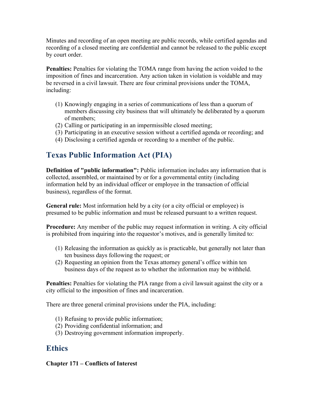Minutes and recording of an open meeting are public records, while certified agendas and recording of a closed meeting are confidential and cannot be released to the public except by court order.

**Penalties:** Penalties for violating the TOMA range from having the action voided to the imposition of fines and incarceration. Any action taken in violation is voidable and may be reversed in a civil lawsuit. There are four criminal provisions under the TOMA, including:

- (1) Knowingly engaging in a series of communications of less than a quorum of members discussing city business that will ultimately be deliberated by a quorum of members;
- (2) Calling or participating in an impermissible closed meeting;
- (3) Participating in an executive session without a certified agenda or recording; and
- (4) Disclosing a certified agenda or recording to a member of the public.

## **Texas Public Information Act (PIA)**

**Definition of "public information":** Public information includes any information that is collected, assembled, or maintained by or for a governmental entity (including information held by an individual officer or employee in the transaction of official business), regardless of the format.

**General rule:** Most information held by a city (or a city official or employee) is presumed to be public information and must be released pursuant to a written request.

**Procedure:** Any member of the public may request information in writing. A city official is prohibited from inquiring into the requestor's motives, and is generally limited to:

- (1) Releasing the information as quickly as is practicable, but generally not later than ten business days following the request; or
- (2) Requesting an opinion from the Texas attorney general's office within ten business days of the request as to whether the information may be withheld.

**Penalties:** Penalties for violating the PIA range from a civil lawsuit against the city or a city official to the imposition of fines and incarceration.

There are three general criminal provisions under the PIA, including:

- (1) Refusing to provide public information;
- (2) Providing confidential information; and
- (3) Destroying government information improperly.

### **Ethics**

#### **Chapter 171 – Conflicts of Interest**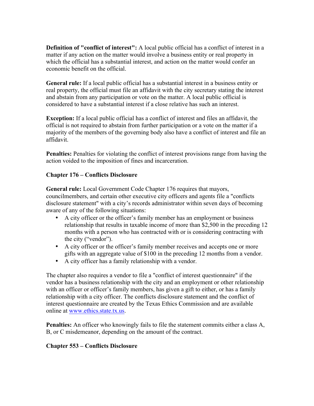**Definition of "conflict of interest":** A local public official has a conflict of interest in a matter if any action on the matter would involve a business entity or real property in which the official has a substantial interest, and action on the matter would confer an economic benefit on the official.

**General rule:** If a local public official has a substantial interest in a business entity or real property, the official must file an affidavit with the city secretary stating the interest and abstain from any participation or vote on the matter. A local public official is considered to have a substantial interest if a close relative has such an interest.

**Exception:** If a local public official has a conflict of interest and files an affidavit, the official is not required to abstain from further participation or a vote on the matter if a majority of the members of the governing body also have a conflict of interest and file an affidavit.

**Penalties:** Penalties for violating the conflict of interest provisions range from having the action voided to the imposition of fines and incarceration.

#### **Chapter 176 – Conflicts Disclosure**

**General rule:** Local Government Code Chapter 176 requires that mayors, councilmembers, and certain other executive city officers and agents file a "conflicts disclosure statement" with a city's records administrator within seven days of becoming aware of any of the following situations:

- A city officer or the officer's family member has an employment or business relationship that results in taxable income of more than \$2,500 in the preceding 12 months with a person who has contracted with or is considering contracting with the city ("vendor").
- A city officer or the officer's family member receives and accepts one or more gifts with an aggregate value of \$100 in the preceding 12 months from a vendor.
- A city officer has a family relationship with a vendor.

The chapter also requires a vendor to file a "conflict of interest questionnaire" if the vendor has a business relationship with the city and an employment or other relationship with an officer or officer's family members, has given a gift to either, or has a family relationship with a city officer. The conflicts disclosure statement and the conflict of interest questionnaire are created by the Texas Ethics Commission and are available online at www.ethics.state.tx.us.

**Penalties:** An officer who knowingly fails to file the statement commits either a class A, B, or C misdemeanor, depending on the amount of the contract.

#### **Chapter 553 – Conflicts Disclosure**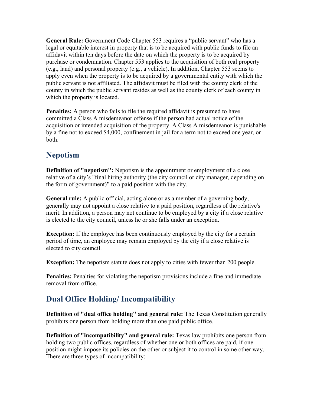**General Rule:** Government Code Chapter 553 requires a "public servant" who has a legal or equitable interest in property that is to be acquired with public funds to file an affidavit within ten days before the date on which the property is to be acquired by purchase or condemnation. Chapter 553 applies to the acquisition of both real property (e.g., land) and personal property (e.g., a vehicle). In addition, Chapter 553 seems to apply even when the property is to be acquired by a governmental entity with which the public servant is not affiliated. The affidavit must be filed with the county clerk of the county in which the public servant resides as well as the county clerk of each county in which the property is located.

**Penalties:** A person who fails to file the required affidavit is presumed to have committed a Class A misdemeanor offense if the person had actual notice of the acquisition or intended acquisition of the property. A Class A misdemeanor is punishable by a fine not to exceed \$4,000, confinement in jail for a term not to exceed one year, or both.

### **Nepotism**

**Definition of "nepotism":** Nepotism is the appointment or employment of a close relative of a city's "final hiring authority (the city council or city manager, depending on the form of government)" to a paid position with the city.

**General rule:** A public official, acting alone or as a member of a governing body, generally may not appoint a close relative to a paid position, regardless of the relative's merit. In addition, a person may not continue to be employed by a city if a close relative is elected to the city council, unless he or she falls under an exception.

**Exception:** If the employee has been continuously employed by the city for a certain period of time, an employee may remain employed by the city if a close relative is elected to city council.

**Exception:** The nepotism statute does not apply to cities with fewer than 200 people.

**Penalties:** Penalties for violating the nepotism provisions include a fine and immediate removal from office.

## **Dual Office Holding/ Incompatibility**

**Definition of "dual office holding" and general rule:** The Texas Constitution generally prohibits one person from holding more than one paid public office.

**Definition of "incompatibility" and general rule:** Texas law prohibits one person from holding two public offices, regardless of whether one or both offices are paid, if one position might impose its policies on the other or subject it to control in some other way. There are three types of incompatibility: